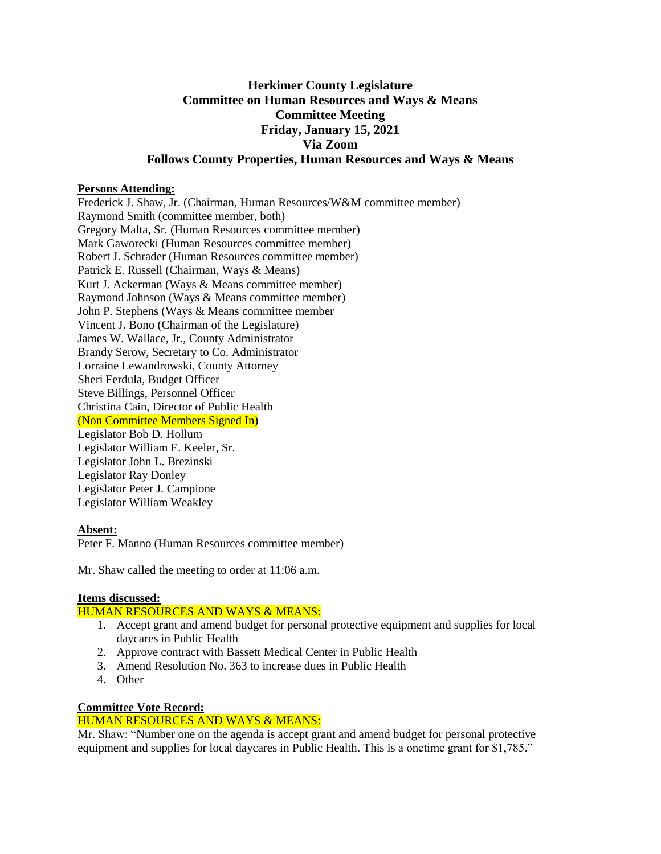# **Herkimer County Legislature Committee on Human Resources and Ways & Means Committee Meeting Friday, January 15, 2021 Via Zoom Follows County Properties, Human Resources and Ways & Means**

## **Persons Attending:**

Frederick J. Shaw, Jr. (Chairman, Human Resources/W&M committee member) Raymond Smith (committee member, both) Gregory Malta, Sr. (Human Resources committee member) Mark Gaworecki (Human Resources committee member) Robert J. Schrader (Human Resources committee member) Patrick E. Russell (Chairman, Ways & Means) Kurt J. Ackerman (Ways & Means committee member) Raymond Johnson (Ways & Means committee member) John P. Stephens (Ways & Means committee member Vincent J. Bono (Chairman of the Legislature) James W. Wallace, Jr., County Administrator Brandy Serow, Secretary to Co. Administrator Lorraine Lewandrowski, County Attorney Sheri Ferdula, Budget Officer Steve Billings, Personnel Officer Christina Cain, Director of Public Health (Non Committee Members Signed In) Legislator Bob D. Hollum Legislator William E. Keeler, Sr. Legislator John L. Brezinski Legislator Ray Donley Legislator Peter J. Campione Legislator William Weakley

## **Absent:**

Peter F. Manno (Human Resources committee member)

Mr. Shaw called the meeting to order at 11:06 a.m.

#### **Items discussed:**

## HUMAN RESOURCES AND WAYS & MEANS:

- 1. Accept grant and amend budget for personal protective equipment and supplies for local daycares in Public Health
- 2. Approve contract with Bassett Medical Center in Public Health
- 3. Amend Resolution No. 363 to increase dues in Public Health
- 4. Other

## **Committee Vote Record:**

## HUMAN RESOURCES AND WAYS & MEANS:

Mr. Shaw: "Number one on the agenda is accept grant and amend budget for personal protective equipment and supplies for local daycares in Public Health. This is a onetime grant for \$1,785."